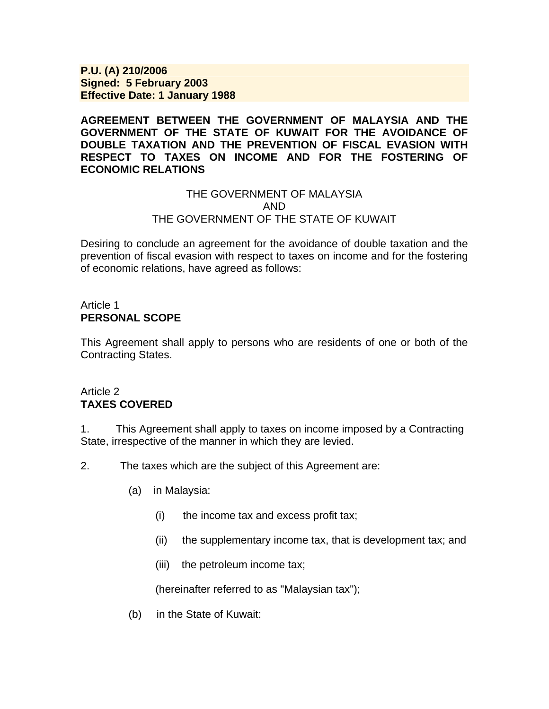**P.U. (A) 210/2006 Signed: 5 February 2003 Effective Date: 1 January 1988**

**AGREEMENT BETWEEN THE GOVERNMENT OF MALAYSIA AND THE GOVERNMENT OF THE STATE OF KUWAIT FOR THE AVOIDANCE OF DOUBLE TAXATION AND THE PREVENTION OF FISCAL EVASION WITH RESPECT TO TAXES ON INCOME AND FOR THE FOSTERING OF ECONOMIC RELATIONS** 

### THE GOVERNMENT OF MALAYSIA AND THE GOVERNMENT OF THE STATE OF KUWAIT

Desiring to conclude an agreement for the avoidance of double taxation and the prevention of fiscal evasion with respect to taxes on income and for the fostering of economic relations, have agreed as follows:

## Article 1 **PERSONAL SCOPE**

This Agreement shall apply to persons who are residents of one or both of the Contracting States.

## Article 2 **TAXES COVERED**

1. This Agreement shall apply to taxes on income imposed by a Contracting State, irrespective of the manner in which they are levied.

2. The taxes which are the subject of this Agreement are:

- (a) in Malaysia:
	- (i) the income tax and excess profit tax;
	- (ii) the supplementary income tax, that is development tax; and
	- (iii) the petroleum income tax;

(hereinafter referred to as "Malaysian tax");

(b) in the State of Kuwait: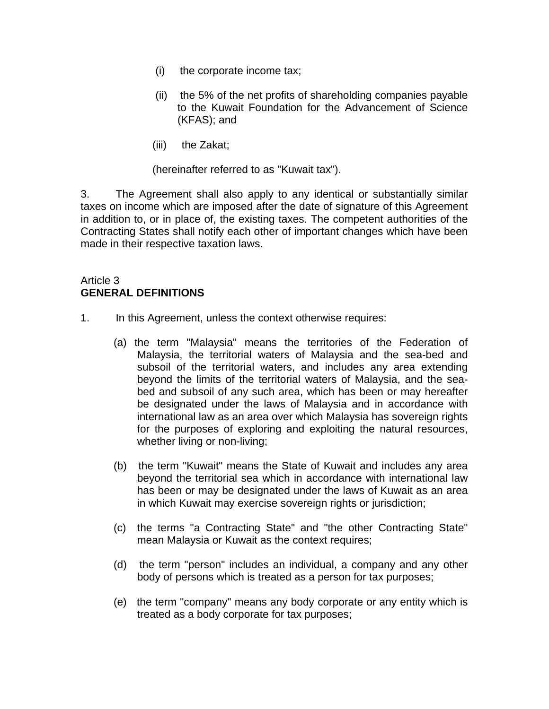- (i) the corporate income tax;
- (ii) the 5% of the net profits of shareholding companies payable to the Kuwait Foundation for the Advancement of Science (KFAS); and
- (iii) the Zakat;

(hereinafter referred to as "Kuwait tax").

3. The Agreement shall also apply to any identical or substantially similar taxes on income which are imposed after the date of signature of this Agreement in addition to, or in place of, the existing taxes. The competent authorities of the Contracting States shall notify each other of important changes which have been made in their respective taxation laws.

### Article 3 **GENERAL DEFINITIONS**

- 1. In this Agreement, unless the context otherwise requires:
	- (a) the term "Malaysia" means the territories of the Federation of Malaysia, the territorial waters of Malaysia and the sea-bed and subsoil of the territorial waters, and includes any area extending beyond the limits of the territorial waters of Malaysia, and the seabed and subsoil of any such area, which has been or may hereafter be designated under the laws of Malaysia and in accordance with international law as an area over which Malaysia has sovereign rights for the purposes of exploring and exploiting the natural resources, whether living or non-living;
	- (b) the term "Kuwait" means the State of Kuwait and includes any area beyond the territorial sea which in accordance with international law has been or may be designated under the laws of Kuwait as an area in which Kuwait may exercise sovereign rights or jurisdiction;
	- (c) the terms "a Contracting State" and "the other Contracting State" mean Malaysia or Kuwait as the context requires;
	- (d) the term "person" includes an individual, a company and any other body of persons which is treated as a person for tax purposes;
	- (e) the term "company" means any body corporate or any entity which is treated as a body corporate for tax purposes;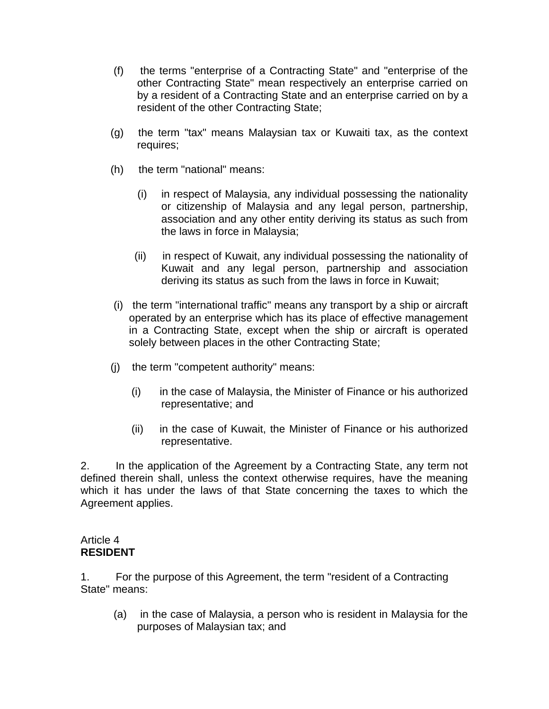- (f) the terms "enterprise of a Contracting State" and "enterprise of the other Contracting State" mean respectively an enterprise carried on by a resident of a Contracting State and an enterprise carried on by a resident of the other Contracting State;
- (g) the term "tax" means Malaysian tax or Kuwaiti tax, as the context requires;
- (h) the term "national" means:
	- (i) in respect of Malaysia, any individual possessing the nationality or citizenship of Malaysia and any legal person, partnership, association and any other entity deriving its status as such from the laws in force in Malaysia;
	- (ii) in respect of Kuwait, any individual possessing the nationality of Kuwait and any legal person, partnership and association deriving its status as such from the laws in force in Kuwait;
- (i) the term "international traffic" means any transport by a ship or aircraft operated by an enterprise which has its place of effective management in a Contracting State, except when the ship or aircraft is operated solely between places in the other Contracting State;
- (j) the term "competent authority" means:
	- (i) in the case of Malaysia, the Minister of Finance or his authorized representative; and
	- (ii) in the case of Kuwait, the Minister of Finance or his authorized representative.

2. In the application of the Agreement by a Contracting State, any term not defined therein shall, unless the context otherwise requires, have the meaning which it has under the laws of that State concerning the taxes to which the Agreement applies.

### Article 4 **RESIDENT**

1. For the purpose of this Agreement, the term "resident of a Contracting State" means:

 (a) in the case of Malaysia, a person who is resident in Malaysia for the purposes of Malaysian tax; and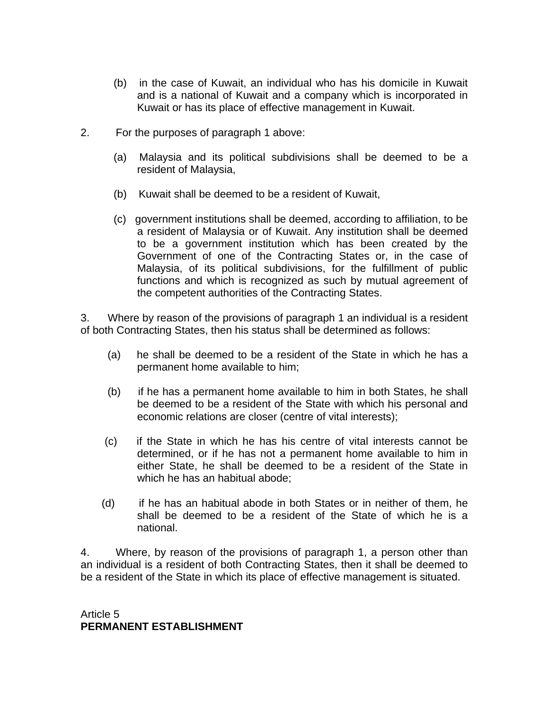- (b) in the case of Kuwait, an individual who has his domicile in Kuwait and is a national of Kuwait and a company which is incorporated in Kuwait or has its place of effective management in Kuwait.
- 2. For the purposes of paragraph 1 above:
	- (a) Malaysia and its political subdivisions shall be deemed to be a resident of Malaysia,
	- (b) Kuwait shall be deemed to be a resident of Kuwait,
	- (c) government institutions shall be deemed, according to affiliation, to be a resident of Malaysia or of Kuwait. Any institution shall be deemed to be a government institution which has been created by the Government of one of the Contracting States or, in the case of Malaysia, of its political subdivisions, for the fulfillment of public functions and which is recognized as such by mutual agreement of the competent authorities of the Contracting States.

3. Where by reason of the provisions of paragraph 1 an individual is a resident of both Contracting States, then his status shall be determined as follows:

- (a) he shall be deemed to be a resident of the State in which he has a permanent home available to him;
- (b) if he has a permanent home available to him in both States, he shall be deemed to be a resident of the State with which his personal and economic relations are closer (centre of vital interests);
- (c) if the State in which he has his centre of vital interests cannot be determined, or if he has not a permanent home available to him in either State, he shall be deemed to be a resident of the State in which he has an habitual abode;
- (d) if he has an habitual abode in both States or in neither of them, he shall be deemed to be a resident of the State of which he is a national.

4. Where, by reason of the provisions of paragraph 1, a person other than an individual is a resident of both Contracting States, then it shall be deemed to be a resident of the State in which its place of effective management is situated.

Article 5 **PERMANENT ESTABLISHMENT**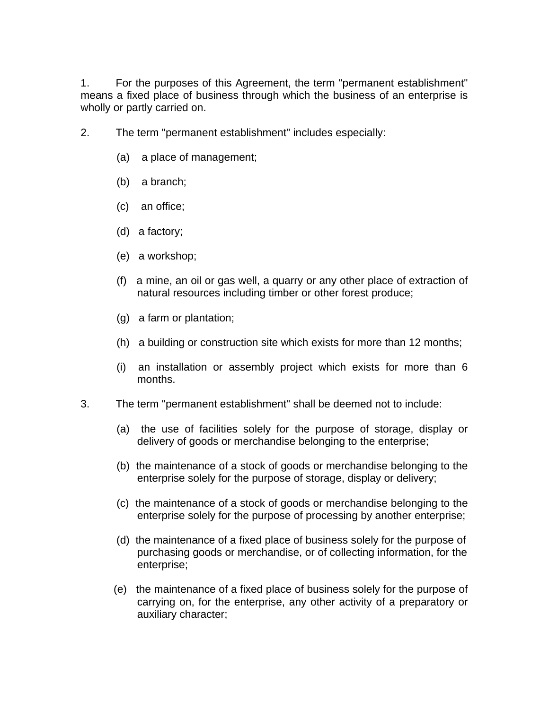1. For the purposes of this Agreement, the term "permanent establishment" means a fixed place of business through which the business of an enterprise is wholly or partly carried on.

- 2. The term "permanent establishment" includes especially:
	- (a) a place of management;
	- (b) a branch;
	- (c) an office;
	- (d) a factory;
	- (e) a workshop;
	- (f) a mine, an oil or gas well, a quarry or any other place of extraction of natural resources including timber or other forest produce;
	- (g) a farm or plantation;
	- (h) a building or construction site which exists for more than 12 months;
	- (i) an installation or assembly project which exists for more than 6 months.
- 3. The term "permanent establishment" shall be deemed not to include:
	- (a) the use of facilities solely for the purpose of storage, display or delivery of goods or merchandise belonging to the enterprise;
	- (b) the maintenance of a stock of goods or merchandise belonging to the enterprise solely for the purpose of storage, display or delivery;
	- (c) the maintenance of a stock of goods or merchandise belonging to the enterprise solely for the purpose of processing by another enterprise;
	- (d) the maintenance of a fixed place of business solely for the purpose of purchasing goods or merchandise, or of collecting information, for the enterprise;
	- (e) the maintenance of a fixed place of business solely for the purpose of carrying on, for the enterprise, any other activity of a preparatory or auxiliary character;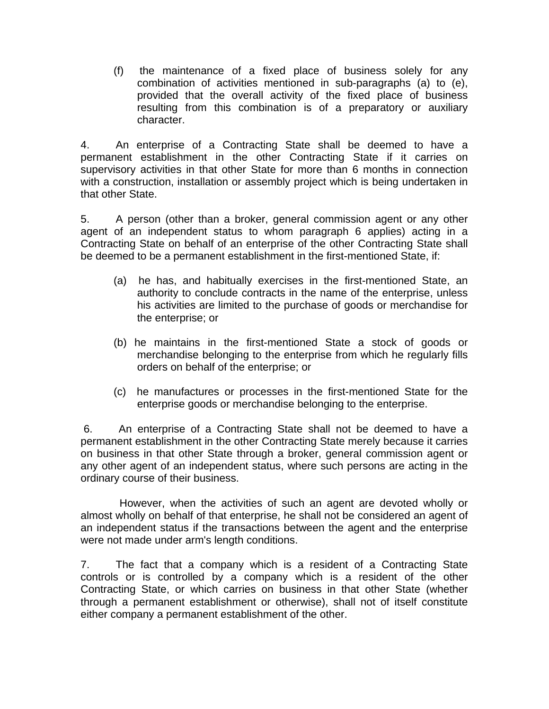(f) the maintenance of a fixed place of business solely for any combination of activities mentioned in sub-paragraphs (a) to (e), provided that the overall activity of the fixed place of business resulting from this combination is of a preparatory or auxiliary character.

4. An enterprise of a Contracting State shall be deemed to have a permanent establishment in the other Contracting State if it carries on supervisory activities in that other State for more than 6 months in connection with a construction, installation or assembly project which is being undertaken in that other State.

5. A person (other than a broker, general commission agent or any other agent of an independent status to whom paragraph 6 applies) acting in a Contracting State on behalf of an enterprise of the other Contracting State shall be deemed to be a permanent establishment in the first-mentioned State, if:

- (a) he has, and habitually exercises in the first-mentioned State, an authority to conclude contracts in the name of the enterprise, unless his activities are limited to the purchase of goods or merchandise for the enterprise; or
- (b) he maintains in the first-mentioned State a stock of goods or merchandise belonging to the enterprise from which he regularly fills orders on behalf of the enterprise; or
- (c) he manufactures or processes in the first-mentioned State for the enterprise goods or merchandise belonging to the enterprise.

 6. An enterprise of a Contracting State shall not be deemed to have a permanent establishment in the other Contracting State merely because it carries on business in that other State through a broker, general commission agent or any other agent of an independent status, where such persons are acting in the ordinary course of their business.

 However, when the activities of such an agent are devoted wholly or almost wholly on behalf of that enterprise, he shall not be considered an agent of an independent status if the transactions between the agent and the enterprise were not made under arm's length conditions.

7. The fact that a company which is a resident of a Contracting State controls or is controlled by a company which is a resident of the other Contracting State, or which carries on business in that other State (whether through a permanent establishment or otherwise), shall not of itself constitute either company a permanent establishment of the other.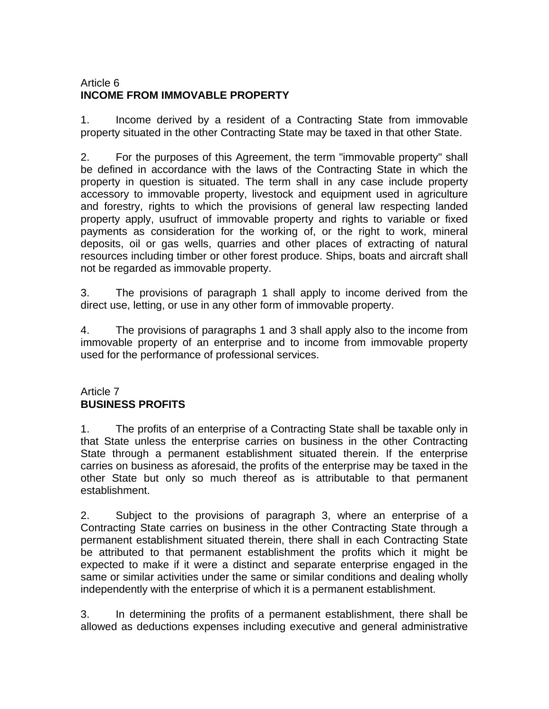# Article 6 **INCOME FROM IMMOVABLE PROPERTY**

1. Income derived by a resident of a Contracting State from immovable property situated in the other Contracting State may be taxed in that other State.

2. For the purposes of this Agreement, the term "immovable property" shall be defined in accordance with the laws of the Contracting State in which the property in question is situated. The term shall in any case include property accessory to immovable property, livestock and equipment used in agriculture and forestry, rights to which the provisions of general law respecting landed property apply, usufruct of immovable property and rights to variable or fixed payments as consideration for the working of, or the right to work, mineral deposits, oil or gas wells, quarries and other places of extracting of natural resources including timber or other forest produce. Ships, boats and aircraft shall not be regarded as immovable property.

3. The provisions of paragraph 1 shall apply to income derived from the direct use, letting, or use in any other form of immovable property.

4. The provisions of paragraphs 1 and 3 shall apply also to the income from immovable property of an enterprise and to income from immovable property used for the performance of professional services.

## Article 7 **BUSINESS PROFITS**

1. The profits of an enterprise of a Contracting State shall be taxable only in that State unless the enterprise carries on business in the other Contracting State through a permanent establishment situated therein. If the enterprise carries on business as aforesaid, the profits of the enterprise may be taxed in the other State but only so much thereof as is attributable to that permanent establishment.

2. Subject to the provisions of paragraph 3, where an enterprise of a Contracting State carries on business in the other Contracting State through a permanent establishment situated therein, there shall in each Contracting State be attributed to that permanent establishment the profits which it might be expected to make if it were a distinct and separate enterprise engaged in the same or similar activities under the same or similar conditions and dealing wholly independently with the enterprise of which it is a permanent establishment.

3. In determining the profits of a permanent establishment, there shall be allowed as deductions expenses including executive and general administrative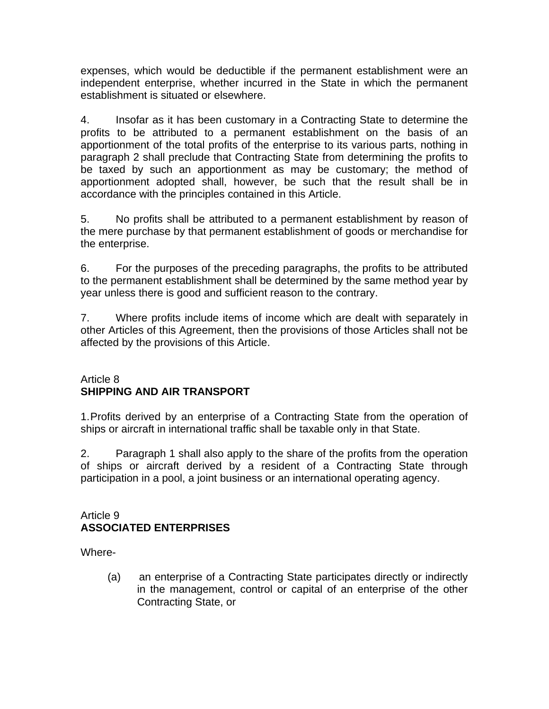expenses, which would be deductible if the permanent establishment were an independent enterprise, whether incurred in the State in which the permanent establishment is situated or elsewhere.

4. Insofar as it has been customary in a Contracting State to determine the profits to be attributed to a permanent establishment on the basis of an apportionment of the total profits of the enterprise to its various parts, nothing in paragraph 2 shall preclude that Contracting State from determining the profits to be taxed by such an apportionment as may be customary; the method of apportionment adopted shall, however, be such that the result shall be in accordance with the principles contained in this Article.

5. No profits shall be attributed to a permanent establishment by reason of the mere purchase by that permanent establishment of goods or merchandise for the enterprise.

6. For the purposes of the preceding paragraphs, the profits to be attributed to the permanent establishment shall be determined by the same method year by year unless there is good and sufficient reason to the contrary.

7. Where profits include items of income which are dealt with separately in other Articles of this Agreement, then the provisions of those Articles shall not be affected by the provisions of this Article.

## Article 8 **SHIPPING AND AIR TRANSPORT**

1.Profits derived by an enterprise of a Contracting State from the operation of ships or aircraft in international traffic shall be taxable only in that State.

2. Paragraph 1 shall also apply to the share of the profits from the operation of ships or aircraft derived by a resident of a Contracting State through participation in a pool, a joint business or an international operating agency.

# Article 9 **ASSOCIATED ENTERPRISES**

Where-

 (a) an enterprise of a Contracting State participates directly or indirectly in the management, control or capital of an enterprise of the other Contracting State, or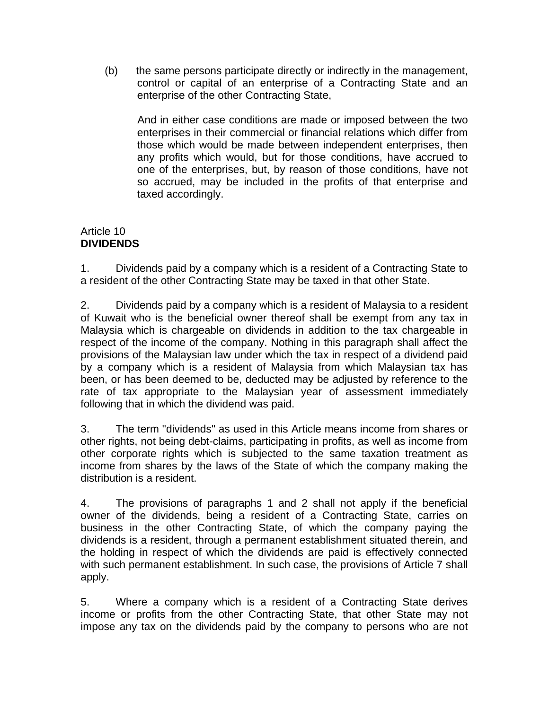(b) the same persons participate directly or indirectly in the management, control or capital of an enterprise of a Contracting State and an enterprise of the other Contracting State,

 And in either case conditions are made or imposed between the two enterprises in their commercial or financial relations which differ from those which would be made between independent enterprises, then any profits which would, but for those conditions, have accrued to one of the enterprises, but, by reason of those conditions, have not so accrued, may be included in the profits of that enterprise and taxed accordingly.

## Article 10 **DIVIDENDS**

1. Dividends paid by a company which is a resident of a Contracting State to a resident of the other Contracting State may be taxed in that other State.

2. Dividends paid by a company which is a resident of Malaysia to a resident of Kuwait who is the beneficial owner thereof shall be exempt from any tax in Malaysia which is chargeable on dividends in addition to the tax chargeable in respect of the income of the company. Nothing in this paragraph shall affect the provisions of the Malaysian law under which the tax in respect of a dividend paid by a company which is a resident of Malaysia from which Malaysian tax has been, or has been deemed to be, deducted may be adjusted by reference to the rate of tax appropriate to the Malaysian year of assessment immediately following that in which the dividend was paid.

3. The term "dividends" as used in this Article means income from shares or other rights, not being debt-claims, participating in profits, as well as income from other corporate rights which is subjected to the same taxation treatment as income from shares by the laws of the State of which the company making the distribution is a resident.

4. The provisions of paragraphs 1 and 2 shall not apply if the beneficial owner of the dividends, being a resident of a Contracting State, carries on business in the other Contracting State, of which the company paying the dividends is a resident, through a permanent establishment situated therein, and the holding in respect of which the dividends are paid is effectively connected with such permanent establishment. In such case, the provisions of Article 7 shall apply.

5. Where a company which is a resident of a Contracting State derives income or profits from the other Contracting State, that other State may not impose any tax on the dividends paid by the company to persons who are not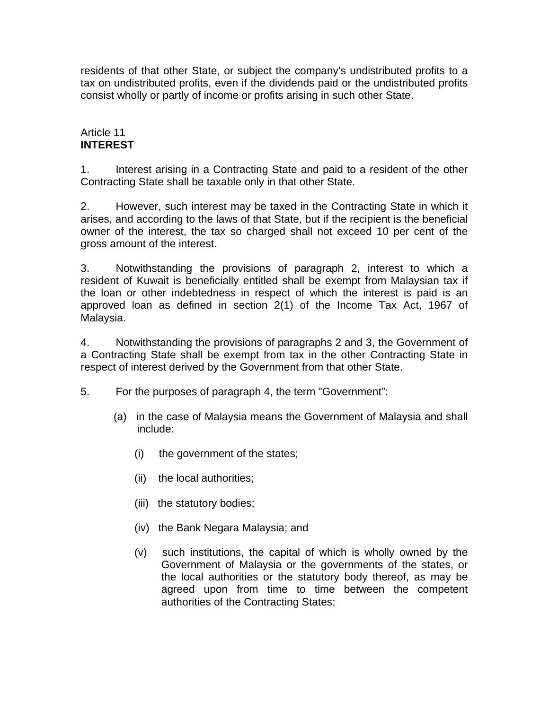residents of that other State, or subject the company's undistributed profits to a tax on undistributed profits, even if the dividends paid or the undistributed profits consist wholly or partly of income or profits arising in such other State.

## Article 11 **INTEREST**

1. Interest arising in a Contracting State and paid to a resident of the other Contracting State shall be taxable only in that other State.

2. However, such interest may be taxed in the Contracting State in which it arises, and according to the laws of that State, but if the recipient is the beneficial owner of the interest, the tax so charged shall not exceed 10 per cent of the gross amount of the interest.

3. Notwithstanding the provisions of paragraph 2, interest to which a resident of Kuwait is beneficially entitled shall be exempt from Malaysian tax if the loan or other indebtedness in respect of which the interest is paid is an approved loan as defined in section 2(1) of the Income Tax Act, 1967 of Malaysia.

4. Notwithstanding the provisions of paragraphs 2 and 3, the Government of a Contracting State shall be exempt from tax in the other Contracting State in respect of interest derived by the Government from that other State.

- 5. For the purposes of paragraph 4, the term "Government":
	- (a) in the case of Malaysia means the Government of Malaysia and shall include:
		- (i) the government of the states;
		- (ii) the local authorities;
		- (iii) the statutory bodies;
		- (iv) the Bank Negara Malaysia; and
		- (v) such institutions, the capital of which is wholly owned by the Government of Malaysia or the governments of the states, or the local authorities or the statutory body thereof, as may be agreed upon from time to time between the competent authorities of the Contracting States;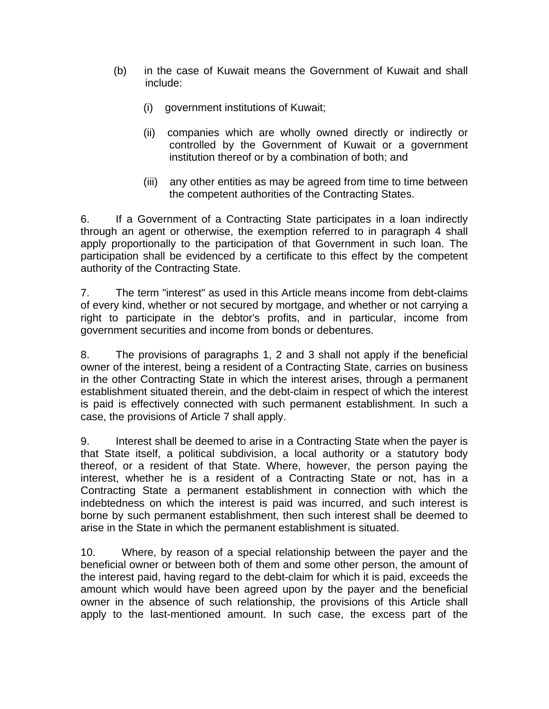- (b) in the case of Kuwait means the Government of Kuwait and shall include:
	- (i) government institutions of Kuwait;
	- (ii) companies which are wholly owned directly or indirectly or controlled by the Government of Kuwait or a government institution thereof or by a combination of both; and
	- (iii) any other entities as may be agreed from time to time between the competent authorities of the Contracting States.

6. If a Government of a Contracting State participates in a loan indirectly through an agent or otherwise, the exemption referred to in paragraph 4 shall apply proportionally to the participation of that Government in such loan. The participation shall be evidenced by a certificate to this effect by the competent authority of the Contracting State.

7. The term "interest" as used in this Article means income from debt-claims of every kind, whether or not secured by mortgage, and whether or not carrying a right to participate in the debtor's profits, and in particular, income from government securities and income from bonds or debentures.

8. The provisions of paragraphs 1, 2 and 3 shall not apply if the beneficial owner of the interest, being a resident of a Contracting State, carries on business in the other Contracting State in which the interest arises, through a permanent establishment situated therein, and the debt-claim in respect of which the interest is paid is effectively connected with such permanent establishment. In such a case, the provisions of Article 7 shall apply.

9. Interest shall be deemed to arise in a Contracting State when the payer is that State itself, a political subdivision, a local authority or a statutory body thereof, or a resident of that State. Where, however, the person paying the interest, whether he is a resident of a Contracting State or not, has in a Contracting State a permanent establishment in connection with which the indebtedness on which the interest is paid was incurred, and such interest is borne by such permanent establishment, then such interest shall be deemed to arise in the State in which the permanent establishment is situated.

10. Where, by reason of a special relationship between the payer and the beneficial owner or between both of them and some other person, the amount of the interest paid, having regard to the debt-claim for which it is paid, exceeds the amount which would have been agreed upon by the payer and the beneficial owner in the absence of such relationship, the provisions of this Article shall apply to the last-mentioned amount. In such case, the excess part of the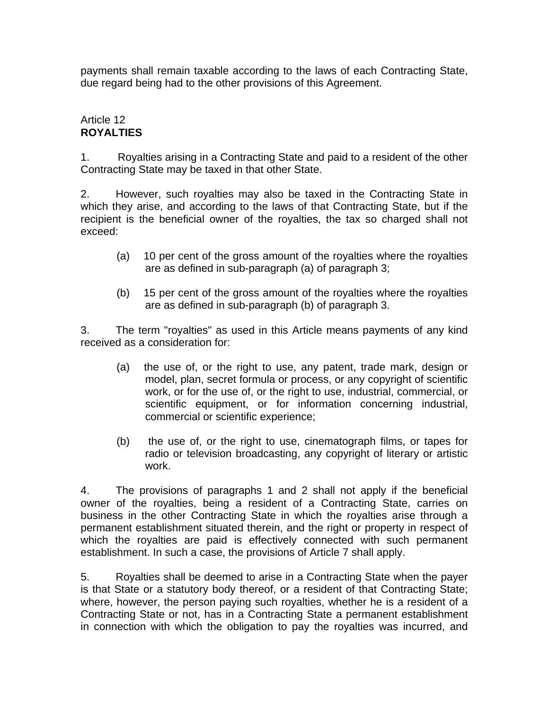payments shall remain taxable according to the laws of each Contracting State, due regard being had to the other provisions of this Agreement.

# Article 12 **ROYALTIES**

1. Royalties arising in a Contracting State and paid to a resident of the other Contracting State may be taxed in that other State.

2. However, such royalties may also be taxed in the Contracting State in which they arise, and according to the laws of that Contracting State, but if the recipient is the beneficial owner of the royalties, the tax so charged shall not exceed:

- (a) 10 per cent of the gross amount of the royalties where the royalties are as defined in sub-paragraph (a) of paragraph 3;
- (b) 15 per cent of the gross amount of the royalties where the royalties are as defined in sub-paragraph (b) of paragraph 3.

3. The term "royalties" as used in this Article means payments of any kind received as a consideration for:

- (a) the use of, or the right to use, any patent, trade mark, design or model, plan, secret formula or process, or any copyright of scientific work, or for the use of, or the right to use, industrial, commercial, or scientific equipment, or for information concerning industrial, commercial or scientific experience;
- (b) the use of, or the right to use, cinematograph films, or tapes for radio or television broadcasting, any copyright of literary or artistic work.

4. The provisions of paragraphs 1 and 2 shall not apply if the beneficial owner of the royalties, being a resident of a Contracting State, carries on business in the other Contracting State in which the royalties arise through a permanent establishment situated therein, and the right or property in respect of which the royalties are paid is effectively connected with such permanent establishment. In such a case, the provisions of Article 7 shall apply.

5. Royalties shall be deemed to arise in a Contracting State when the payer is that State or a statutory body thereof, or a resident of that Contracting State; where, however, the person paying such royalties, whether he is a resident of a Contracting State or not, has in a Contracting State a permanent establishment in connection with which the obligation to pay the royalties was incurred, and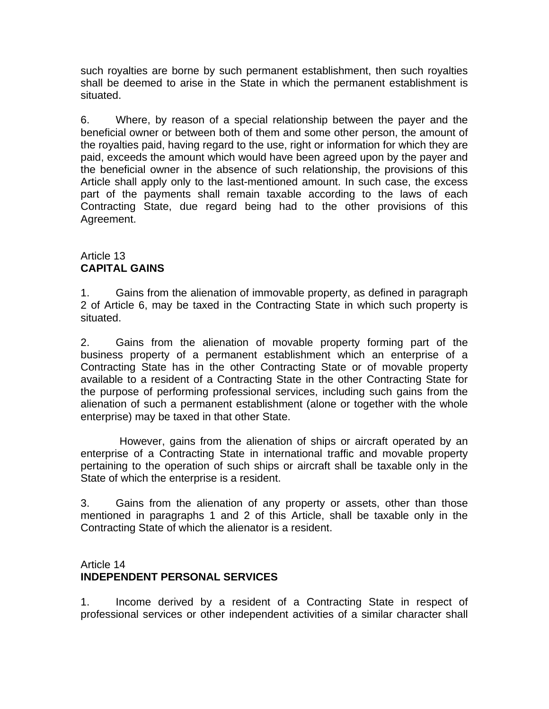such royalties are borne by such permanent establishment, then such royalties shall be deemed to arise in the State in which the permanent establishment is situated.

6. Where, by reason of a special relationship between the payer and the beneficial owner or between both of them and some other person, the amount of the royalties paid, having regard to the use, right or information for which they are paid, exceeds the amount which would have been agreed upon by the payer and the beneficial owner in the absence of such relationship, the provisions of this Article shall apply only to the last-mentioned amount. In such case, the excess part of the payments shall remain taxable according to the laws of each Contracting State, due regard being had to the other provisions of this Agreement.

# Article 13 **CAPITAL GAINS**

1. Gains from the alienation of immovable property, as defined in paragraph 2 of Article 6, may be taxed in the Contracting State in which such property is situated.

2. Gains from the alienation of movable property forming part of the business property of a permanent establishment which an enterprise of a Contracting State has in the other Contracting State or of movable property available to a resident of a Contracting State in the other Contracting State for the purpose of performing professional services, including such gains from the alienation of such a permanent establishment (alone or together with the whole enterprise) may be taxed in that other State.

 However, gains from the alienation of ships or aircraft operated by an enterprise of a Contracting State in international traffic and movable property pertaining to the operation of such ships or aircraft shall be taxable only in the State of which the enterprise is a resident.

3. Gains from the alienation of any property or assets, other than those mentioned in paragraphs 1 and 2 of this Article, shall be taxable only in the Contracting State of which the alienator is a resident.

# Article 14 **INDEPENDENT PERSONAL SERVICES**

1. Income derived by a resident of a Contracting State in respect of professional services or other independent activities of a similar character shall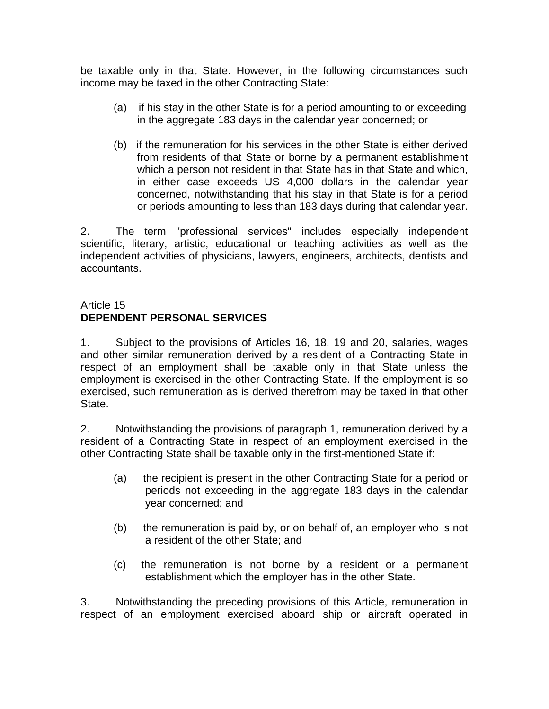be taxable only in that State. However, in the following circumstances such income may be taxed in the other Contracting State:

- (a) if his stay in the other State is for a period amounting to or exceeding in the aggregate 183 days in the calendar year concerned; or
- (b) if the remuneration for his services in the other State is either derived from residents of that State or borne by a permanent establishment which a person not resident in that State has in that State and which, in either case exceeds US 4,000 dollars in the calendar year concerned, notwithstanding that his stay in that State is for a period or periods amounting to less than 183 days during that calendar year.

2. The term "professional services" includes especially independent scientific, literary, artistic, educational or teaching activities as well as the independent activities of physicians, lawyers, engineers, architects, dentists and accountants.

# Article 15 **DEPENDENT PERSONAL SERVICES**

1. Subject to the provisions of Articles 16, 18, 19 and 20, salaries, wages and other similar remuneration derived by a resident of a Contracting State in respect of an employment shall be taxable only in that State unless the employment is exercised in the other Contracting State. If the employment is so exercised, such remuneration as is derived therefrom may be taxed in that other State.

2. Notwithstanding the provisions of paragraph 1, remuneration derived by a resident of a Contracting State in respect of an employment exercised in the other Contracting State shall be taxable only in the first-mentioned State if:

- (a) the recipient is present in the other Contracting State for a period or periods not exceeding in the aggregate 183 days in the calendar year concerned; and
- (b) the remuneration is paid by, or on behalf of, an employer who is not a resident of the other State; and
- (c) the remuneration is not borne by a resident or a permanent establishment which the employer has in the other State.

3. Notwithstanding the preceding provisions of this Article, remuneration in respect of an employment exercised aboard ship or aircraft operated in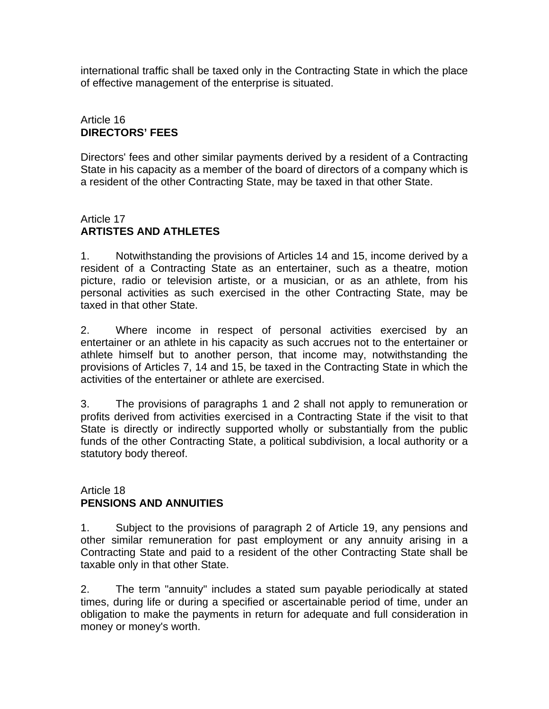international traffic shall be taxed only in the Contracting State in which the place of effective management of the enterprise is situated.

# Article 16 **DIRECTORS' FEES**

Directors' fees and other similar payments derived by a resident of a Contracting State in his capacity as a member of the board of directors of a company which is a resident of the other Contracting State, may be taxed in that other State.

## Article 17 **ARTISTES AND ATHLETES**

1. Notwithstanding the provisions of Articles 14 and 15, income derived by a resident of a Contracting State as an entertainer, such as a theatre, motion picture, radio or television artiste, or a musician, or as an athlete, from his personal activities as such exercised in the other Contracting State, may be taxed in that other State.

2. Where income in respect of personal activities exercised by an entertainer or an athlete in his capacity as such accrues not to the entertainer or athlete himself but to another person, that income may, notwithstanding the provisions of Articles 7, 14 and 15, be taxed in the Contracting State in which the activities of the entertainer or athlete are exercised.

3. The provisions of paragraphs 1 and 2 shall not apply to remuneration or profits derived from activities exercised in a Contracting State if the visit to that State is directly or indirectly supported wholly or substantially from the public funds of the other Contracting State, a political subdivision, a local authority or a statutory body thereof.

### Article 18 **PENSIONS AND ANNUITIES**

1. Subject to the provisions of paragraph 2 of Article 19, any pensions and other similar remuneration for past employment or any annuity arising in a Contracting State and paid to a resident of the other Contracting State shall be taxable only in that other State.

2. The term "annuity" includes a stated sum payable periodically at stated times, during life or during a specified or ascertainable period of time, under an obligation to make the payments in return for adequate and full consideration in money or money's worth.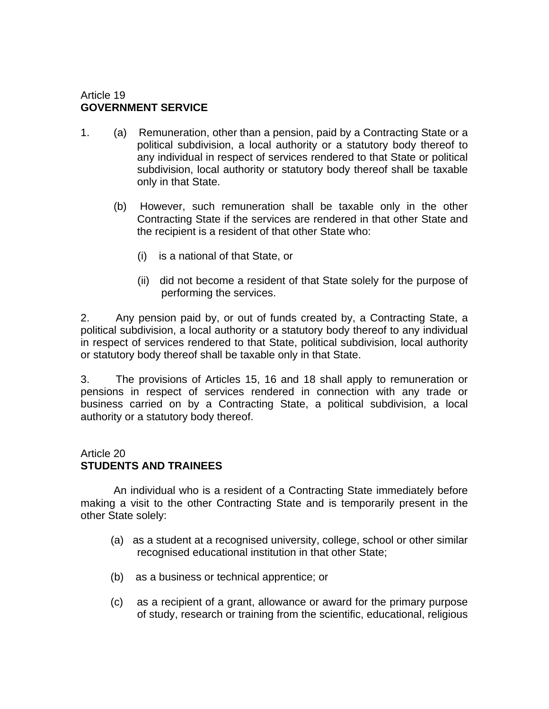### Article 19 **GOVERNMENT SERVICE**

- 1. (a) Remuneration, other than a pension, paid by a Contracting State or a political subdivision, a local authority or a statutory body thereof to any individual in respect of services rendered to that State or political subdivision, local authority or statutory body thereof shall be taxable only in that State.
	- (b) However, such remuneration shall be taxable only in the other Contracting State if the services are rendered in that other State and the recipient is a resident of that other State who:
		- (i) is a national of that State, or
		- (ii) did not become a resident of that State solely for the purpose of performing the services.

2. Any pension paid by, or out of funds created by, a Contracting State, a political subdivision, a local authority or a statutory body thereof to any individual in respect of services rendered to that State, political subdivision, local authority or statutory body thereof shall be taxable only in that State.

3. The provisions of Articles 15, 16 and 18 shall apply to remuneration or pensions in respect of services rendered in connection with any trade or business carried on by a Contracting State, a political subdivision, a local authority or a statutory body thereof.

### Article 20 **STUDENTS AND TRAINEES**

 An individual who is a resident of a Contracting State immediately before making a visit to the other Contracting State and is temporarily present in the other State solely:

- (a) as a student at a recognised university, college, school or other similar recognised educational institution in that other State;
- (b) as a business or technical apprentice; or
- (c) as a recipient of a grant, allowance or award for the primary purpose of study, research or training from the scientific, educational, religious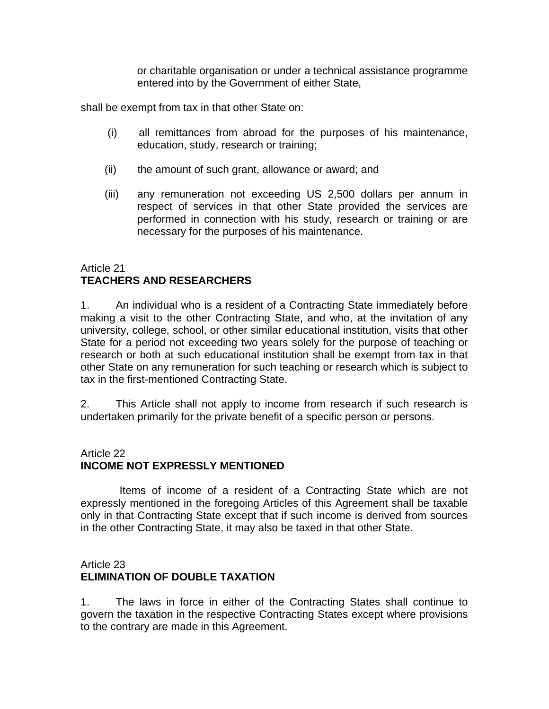or charitable organisation or under a technical assistance programme entered into by the Government of either State,

shall be exempt from tax in that other State on:

- (i) all remittances from abroad for the purposes of his maintenance, education, study, research or training;
- (ii) the amount of such grant, allowance or award; and
- (iii) any remuneration not exceeding US 2,500 dollars per annum in respect of services in that other State provided the services are performed in connection with his study, research or training or are necessary for the purposes of his maintenance.

# Article 21 **TEACHERS AND RESEARCHERS**

1. An individual who is a resident of a Contracting State immediately before making a visit to the other Contracting State, and who, at the invitation of any university, college, school, or other similar educational institution, visits that other State for a period not exceeding two years solely for the purpose of teaching or research or both at such educational institution shall be exempt from tax in that other State on any remuneration for such teaching or research which is subject to tax in the first-mentioned Contracting State.

2. This Article shall not apply to income from research if such research is undertaken primarily for the private benefit of a specific person or persons.

# Article 22

# **INCOME NOT EXPRESSLY MENTIONED**

 Items of income of a resident of a Contracting State which are not expressly mentioned in the foregoing Articles of this Agreement shall be taxable only in that Contracting State except that if such income is derived from sources in the other Contracting State, it may also be taxed in that other State.

## Article 23 **ELIMINATION OF DOUBLE TAXATION**

1. The laws in force in either of the Contracting States shall continue to govern the taxation in the respective Contracting States except where provisions to the contrary are made in this Agreement.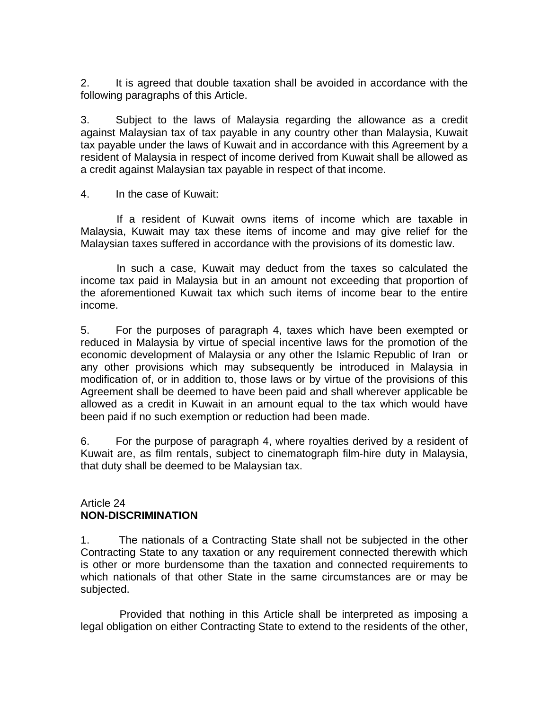2. It is agreed that double taxation shall be avoided in accordance with the following paragraphs of this Article.

3. Subject to the laws of Malaysia regarding the allowance as a credit against Malaysian tax of tax payable in any country other than Malaysia, Kuwait tax payable under the laws of Kuwait and in accordance with this Agreement by a resident of Malaysia in respect of income derived from Kuwait shall be allowed as a credit against Malaysian tax payable in respect of that income.

4. In the case of Kuwait:

 If a resident of Kuwait owns items of income which are taxable in Malaysia, Kuwait may tax these items of income and may give relief for the Malaysian taxes suffered in accordance with the provisions of its domestic law.

 In such a case, Kuwait may deduct from the taxes so calculated the income tax paid in Malaysia but in an amount not exceeding that proportion of the aforementioned Kuwait tax which such items of income bear to the entire income.

5. For the purposes of paragraph 4, taxes which have been exempted or reduced in Malaysia by virtue of special incentive laws for the promotion of the economic development of Malaysia or any other the Islamic Republic of Iran or any other provisions which may subsequently be introduced in Malaysia in modification of, or in addition to, those laws or by virtue of the provisions of this Agreement shall be deemed to have been paid and shall wherever applicable be allowed as a credit in Kuwait in an amount equal to the tax which would have been paid if no such exemption or reduction had been made.

6. For the purpose of paragraph 4, where royalties derived by a resident of Kuwait are, as film rentals, subject to cinematograph film-hire duty in Malaysia, that duty shall be deemed to be Malaysian tax.

### Article 24 **NON-DISCRIMINATION**

1. The nationals of a Contracting State shall not be subjected in the other Contracting State to any taxation or any requirement connected therewith which is other or more burdensome than the taxation and connected requirements to which nationals of that other State in the same circumstances are or may be subjected.

 Provided that nothing in this Article shall be interpreted as imposing a legal obligation on either Contracting State to extend to the residents of the other,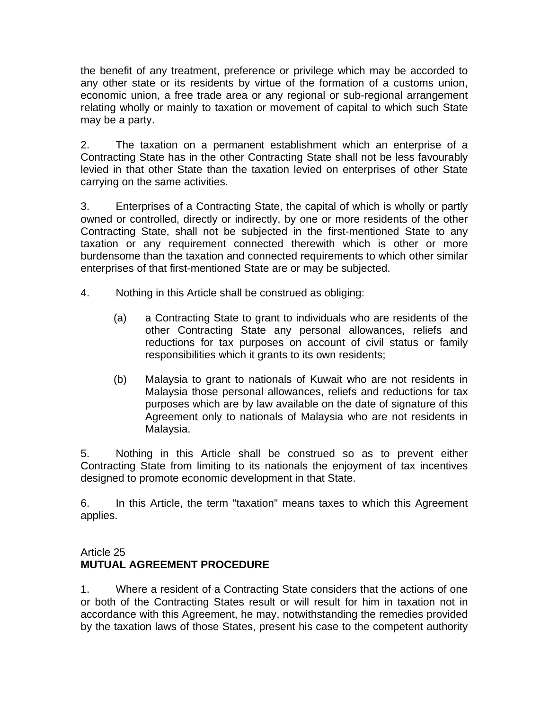the benefit of any treatment, preference or privilege which may be accorded to any other state or its residents by virtue of the formation of a customs union, economic union, a free trade area or any regional or sub-regional arrangement relating wholly or mainly to taxation or movement of capital to which such State may be a party.

2. The taxation on a permanent establishment which an enterprise of a Contracting State has in the other Contracting State shall not be less favourably levied in that other State than the taxation levied on enterprises of other State carrying on the same activities.

3. Enterprises of a Contracting State, the capital of which is wholly or partly owned or controlled, directly or indirectly, by one or more residents of the other Contracting State, shall not be subjected in the first-mentioned State to any taxation or any requirement connected therewith which is other or more burdensome than the taxation and connected requirements to which other similar enterprises of that first-mentioned State are or may be subjected.

- 4. Nothing in this Article shall be construed as obliging:
	- (a) a Contracting State to grant to individuals who are residents of the other Contracting State any personal allowances, reliefs and reductions for tax purposes on account of civil status or family responsibilities which it grants to its own residents;
	- (b) Malaysia to grant to nationals of Kuwait who are not residents in Malaysia those personal allowances, reliefs and reductions for tax purposes which are by law available on the date of signature of this Agreement only to nationals of Malaysia who are not residents in Malaysia.

5. Nothing in this Article shall be construed so as to prevent either Contracting State from limiting to its nationals the enjoyment of tax incentives designed to promote economic development in that State.

6. In this Article, the term "taxation" means taxes to which this Agreement applies.

# Article 25 **MUTUAL AGREEMENT PROCEDURE**

1. Where a resident of a Contracting State considers that the actions of one or both of the Contracting States result or will result for him in taxation not in accordance with this Agreement, he may, notwithstanding the remedies provided by the taxation laws of those States, present his case to the competent authority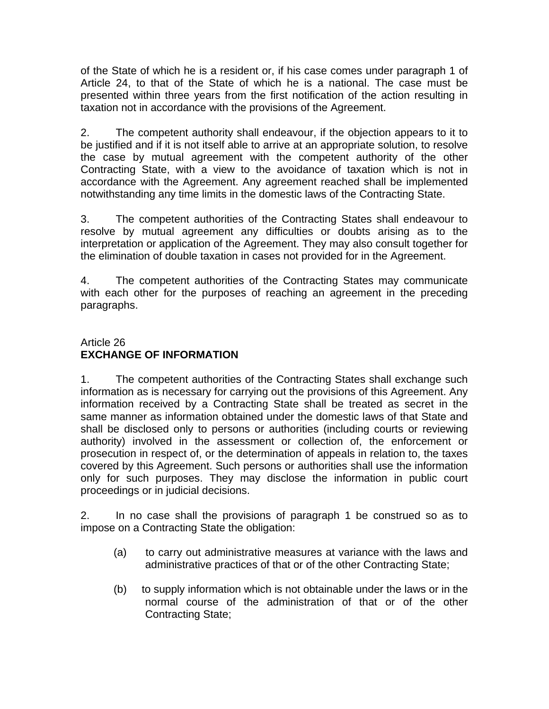of the State of which he is a resident or, if his case comes under paragraph 1 of Article 24, to that of the State of which he is a national. The case must be presented within three years from the first notification of the action resulting in taxation not in accordance with the provisions of the Agreement.

2. The competent authority shall endeavour, if the objection appears to it to be justified and if it is not itself able to arrive at an appropriate solution, to resolve the case by mutual agreement with the competent authority of the other Contracting State, with a view to the avoidance of taxation which is not in accordance with the Agreement. Any agreement reached shall be implemented notwithstanding any time limits in the domestic laws of the Contracting State.

3. The competent authorities of the Contracting States shall endeavour to resolve by mutual agreement any difficulties or doubts arising as to the interpretation or application of the Agreement. They may also consult together for the elimination of double taxation in cases not provided for in the Agreement.

4. The competent authorities of the Contracting States may communicate with each other for the purposes of reaching an agreement in the preceding paragraphs.

# Article 26 **EXCHANGE OF INFORMATION**

1. The competent authorities of the Contracting States shall exchange such information as is necessary for carrying out the provisions of this Agreement. Any information received by a Contracting State shall be treated as secret in the same manner as information obtained under the domestic laws of that State and shall be disclosed only to persons or authorities (including courts or reviewing authority) involved in the assessment or collection of, the enforcement or prosecution in respect of, or the determination of appeals in relation to, the taxes covered by this Agreement. Such persons or authorities shall use the information only for such purposes. They may disclose the information in public court proceedings or in judicial decisions.

2. In no case shall the provisions of paragraph 1 be construed so as to impose on a Contracting State the obligation:

- (a) to carry out administrative measures at variance with the laws and administrative practices of that or of the other Contracting State;
- (b) to supply information which is not obtainable under the laws or in the normal course of the administration of that or of the other Contracting State;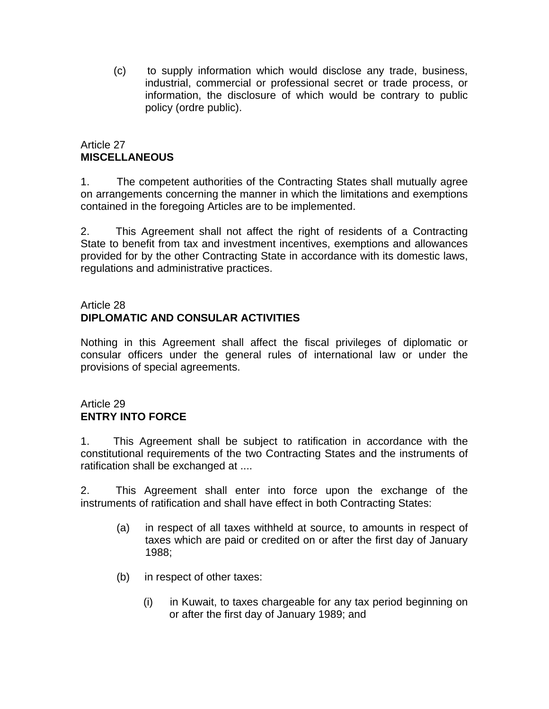(c) to supply information which would disclose any trade, business, industrial, commercial or professional secret or trade process, or information, the disclosure of which would be contrary to public policy (ordre public).

# Article 27 **MISCELLANEOUS**

1. The competent authorities of the Contracting States shall mutually agree on arrangements concerning the manner in which the limitations and exemptions contained in the foregoing Articles are to be implemented.

2. This Agreement shall not affect the right of residents of a Contracting State to benefit from tax and investment incentives, exemptions and allowances provided for by the other Contracting State in accordance with its domestic laws, regulations and administrative practices.

## Article 28 **DIPLOMATIC AND CONSULAR ACTIVITIES**

Nothing in this Agreement shall affect the fiscal privileges of diplomatic or consular officers under the general rules of international law or under the provisions of special agreements.

# Article 29 **ENTRY INTO FORCE**

1. This Agreement shall be subject to ratification in accordance with the constitutional requirements of the two Contracting States and the instruments of ratification shall be exchanged at ....

2. This Agreement shall enter into force upon the exchange of the instruments of ratification and shall have effect in both Contracting States:

- (a) in respect of all taxes withheld at source, to amounts in respect of taxes which are paid or credited on or after the first day of January 1988;
- (b) in respect of other taxes:
	- (i) in Kuwait, to taxes chargeable for any tax period beginning on or after the first day of January 1989; and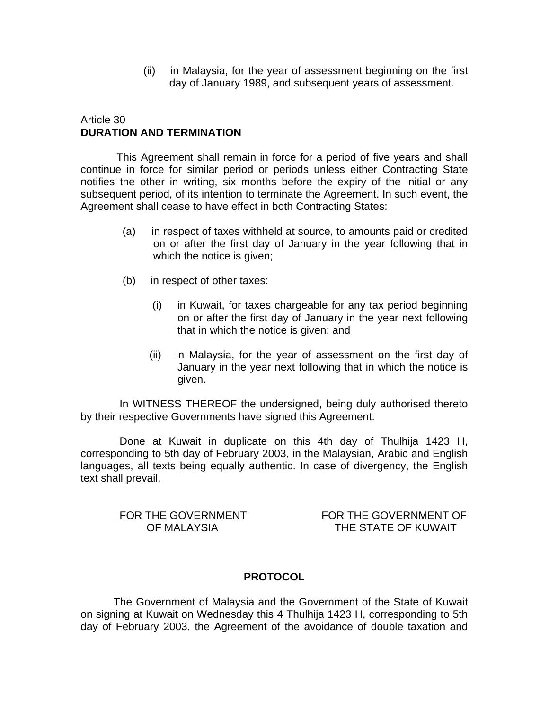(ii) in Malaysia, for the year of assessment beginning on the first day of January 1989, and subsequent years of assessment.

### Article 30 **DURATION AND TERMINATION**

 This Agreement shall remain in force for a period of five years and shall continue in force for similar period or periods unless either Contracting State notifies the other in writing, six months before the expiry of the initial or any subsequent period, of its intention to terminate the Agreement. In such event, the Agreement shall cease to have effect in both Contracting States:

- (a) in respect of taxes withheld at source, to amounts paid or credited on or after the first day of January in the year following that in which the notice is given;
- (b) in respect of other taxes:
	- (i) in Kuwait, for taxes chargeable for any tax period beginning on or after the first day of January in the year next following that in which the notice is given; and
	- (ii) in Malaysia, for the year of assessment on the first day of January in the year next following that in which the notice is given.

 In WITNESS THEREOF the undersigned, being duly authorised thereto by their respective Governments have signed this Agreement.

 Done at Kuwait in duplicate on this 4th day of Thulhija 1423 H, corresponding to 5th day of February 2003, in the Malaysian, Arabic and English languages, all texts being equally authentic. In case of divergency, the English text shall prevail.

FOR THE GOVERNMENT FOR THE GOVERNMENT OF OF MALAYSIA THE STATE OF KUWAIT

### **PROTOCOL**

 The Government of Malaysia and the Government of the State of Kuwait on signing at Kuwait on Wednesday this 4 Thulhija 1423 H, corresponding to 5th day of February 2003, the Agreement of the avoidance of double taxation and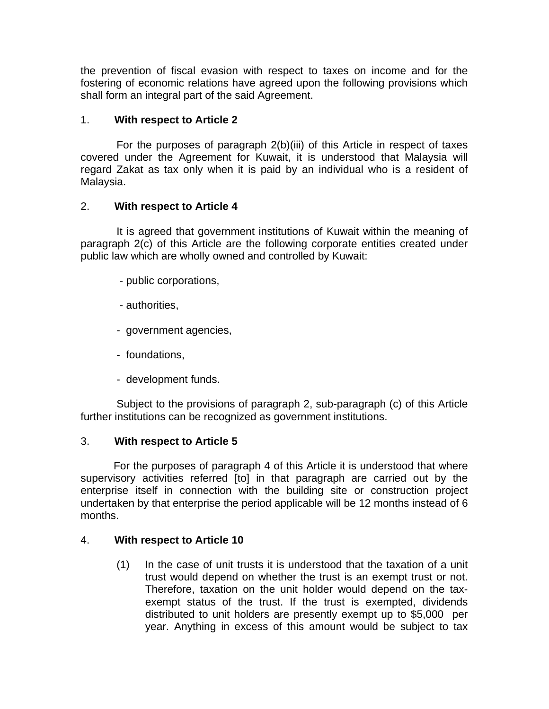the prevention of fiscal evasion with respect to taxes on income and for the fostering of economic relations have agreed upon the following provisions which shall form an integral part of the said Agreement.

# 1. **With respect to Article 2**

For the purposes of paragraph 2(b)(iii) of this Article in respect of taxes covered under the Agreement for Kuwait, it is understood that Malaysia will regard Zakat as tax only when it is paid by an individual who is a resident of Malaysia.

## 2. **With respect to Article 4**

 It is agreed that government institutions of Kuwait within the meaning of paragraph 2(c) of this Article are the following corporate entities created under public law which are wholly owned and controlled by Kuwait:

- public corporations,
- authorities,
- government agencies,
- foundations,
- development funds.

 Subject to the provisions of paragraph 2, sub-paragraph (c) of this Article further institutions can be recognized as government institutions.

### 3. **With respect to Article 5**

For the purposes of paragraph 4 of this Article it is understood that where supervisory activities referred [to] in that paragraph are carried out by the enterprise itself in connection with the building site or construction project undertaken by that enterprise the period applicable will be 12 months instead of 6 months.

### 4. **With respect to Article 10**

(1) In the case of unit trusts it is understood that the taxation of a unit trust would depend on whether the trust is an exempt trust or not. Therefore, taxation on the unit holder would depend on the taxexempt status of the trust. If the trust is exempted, dividends distributed to unit holders are presently exempt up to \$5,000 per year. Anything in excess of this amount would be subject to tax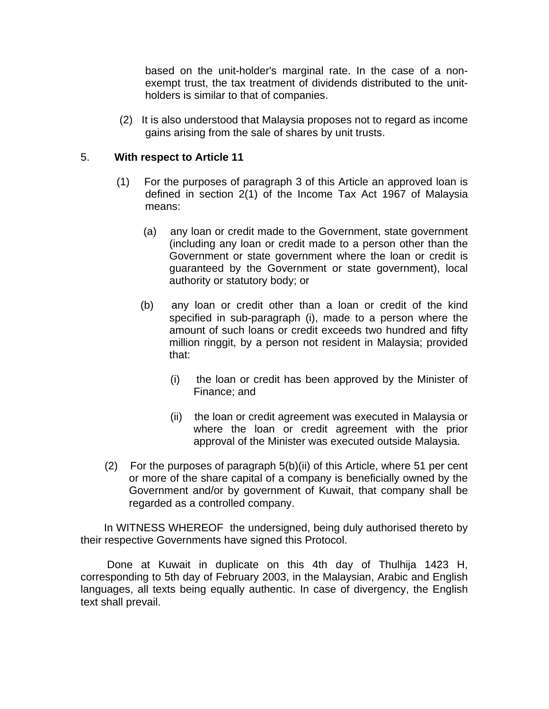based on the unit-holder's marginal rate. In the case of a nonexempt trust, the tax treatment of dividends distributed to the unitholders is similar to that of companies.

 (2) It is also understood that Malaysia proposes not to regard as income gains arising from the sale of shares by unit trusts.

### 5. **With respect to Article 11**

- (1) For the purposes of paragraph 3 of this Article an approved loan is defined in section 2(1) of the Income Tax Act 1967 of Malaysia means:
	- (a) any loan or credit made to the Government, state government (including any loan or credit made to a person other than the Government or state government where the loan or credit is guaranteed by the Government or state government), local authority or statutory body; or
	- (b) any loan or credit other than a loan or credit of the kind specified in sub-paragraph (i), made to a person where the amount of such loans or credit exceeds two hundred and fifty million ringgit, by a person not resident in Malaysia; provided that:
		- (i) the loan or credit has been approved by the Minister of Finance; and
		- (ii) the loan or credit agreement was executed in Malaysia or where the loan or credit agreement with the prior approval of the Minister was executed outside Malaysia.
- (2) For the purposes of paragraph 5(b)(ii) of this Article, where 51 per cent or more of the share capital of a company is beneficially owned by the Government and/or by government of Kuwait, that company shall be regarded as a controlled company.

 In WITNESS WHEREOF the undersigned, being duly authorised thereto by their respective Governments have signed this Protocol.

 Done at Kuwait in duplicate on this 4th day of Thulhija 1423 H, corresponding to 5th day of February 2003, in the Malaysian, Arabic and English languages, all texts being equally authentic. In case of divergency, the English text shall prevail.